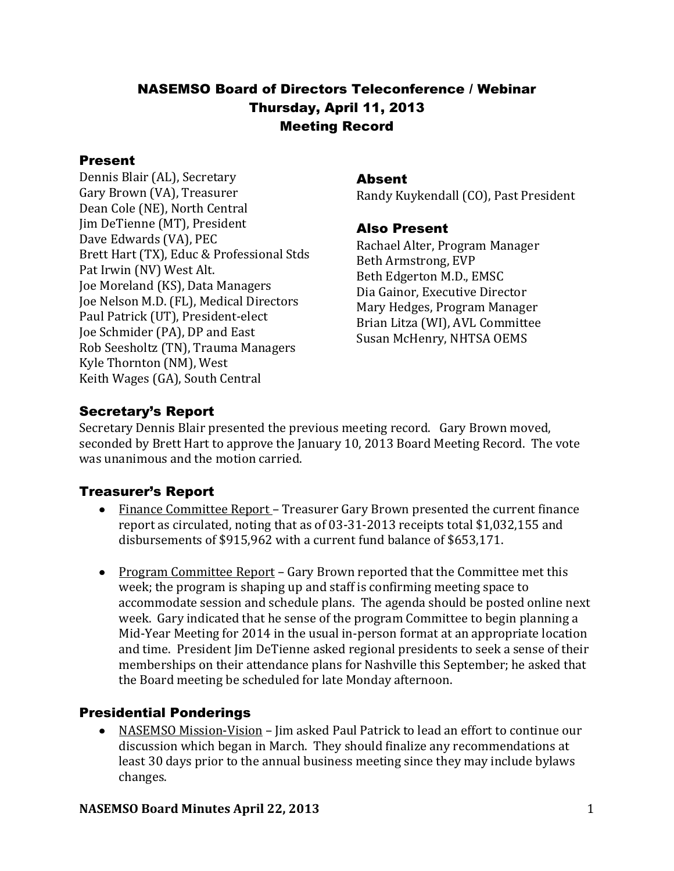# NASEMSO Board of Directors Teleconference / Webinar Thursday, April 11, 2013 Meeting Record

#### Present

Dennis Blair (AL), Secretary Gary Brown (VA), Treasurer Dean Cole (NE), North Central Jim DeTienne (MT), President Dave Edwards (VA), PEC Brett Hart (TX), Educ & Professional Stds Pat Irwin (NV) West Alt. Joe Moreland (KS), Data Managers Joe Nelson M.D. (FL), Medical Directors Paul Patrick (UT), President-elect Joe Schmider (PA), DP and East Rob Seesholtz (TN), Trauma Managers Kyle Thornton (NM), West Keith Wages (GA), South Central

### Absent

Randy Kuykendall (CO), Past President

### Also Present

Rachael Alter, Program Manager Beth Armstrong, EVP Beth Edgerton M.D., EMSC Dia Gainor, Executive Director Mary Hedges, Program Manager Brian Litza (WI), AVL Committee Susan McHenry, NHTSA OEMS

## Secretary's Report

Secretary Dennis Blair presented the previous meeting record. Gary Brown moved, seconded by Brett Hart to approve the January 10, 2013 Board Meeting Record. The vote was unanimous and the motion carried.

### Treasurer's Report

- Finance Committee Report Treasurer Gary Brown presented the current finance report as circulated, noting that as of 03-31-2013 receipts total \$1,032,155 and disbursements of \$915,962 with a current fund balance of \$653,171.
- Program Committee Report Gary Brown reported that the Committee met this week; the program is shaping up and staff is confirming meeting space to accommodate session and schedule plans. The agenda should be posted online next week. Gary indicated that he sense of the program Committee to begin planning a Mid-Year Meeting for 2014 in the usual in-person format at an appropriate location and time. President Jim DeTienne asked regional presidents to seek a sense of their memberships on their attendance plans for Nashville this September; he asked that the Board meeting be scheduled for late Monday afternoon.

### Presidential Ponderings

NASEMSO Mission-Vision – Jim asked Paul Patrick to lead an effort to continue our discussion which began in March. They should finalize any recommendations at least 30 days prior to the annual business meeting since they may include bylaws changes.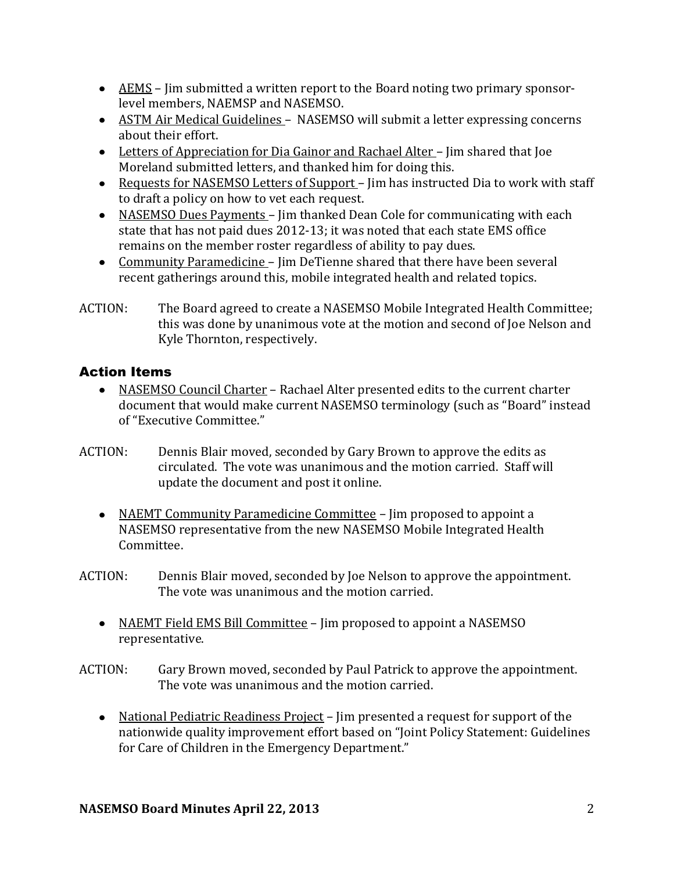- $\triangle$  AEMS Jim submitted a written report to the Board noting two primary sponsorlevel members, NAEMSP and NASEMSO.
- ASTM Air Medical Guidelines NASEMSO will submit a letter expressing concerns about their effort.
- Letters of Appreciation for Dia Gainor and Rachael Alter Jim shared that Joe Moreland submitted letters, and thanked him for doing this.
- Requests for NASEMSO Letters of Support Jim has instructed Dia to work with staff to draft a policy on how to vet each request.
- NASEMSO Dues Payments Jim thanked Dean Cole for communicating with each state that has not paid dues 2012-13; it was noted that each state EMS office remains on the member roster regardless of ability to pay dues.
- Community Paramedicine Jim DeTienne shared that there have been several recent gatherings around this, mobile integrated health and related topics.
- ACTION: The Board agreed to create a NASEMSO Mobile Integrated Health Committee; this was done by unanimous vote at the motion and second of Joe Nelson and Kyle Thornton, respectively.

## Action Items

- NASEMSO Council Charter Rachael Alter presented edits to the current charter document that would make current NASEMSO terminology (such as "Board" instead of "Executive Committee."
- ACTION: Dennis Blair moved, seconded by Gary Brown to approve the edits as circulated. The vote was unanimous and the motion carried. Staff will update the document and post it online.
	- NAEMT Community Paramedicine Committee Jim proposed to appoint a NASEMSO representative from the new NASEMSO Mobile Integrated Health Committee.
- ACTION: Dennis Blair moved, seconded by Joe Nelson to approve the appointment. The vote was unanimous and the motion carried.
	- NAEMT Field EMS Bill Committee Jim proposed to appoint a NASEMSO representative.
- ACTION: Gary Brown moved, seconded by Paul Patrick to approve the appointment. The vote was unanimous and the motion carried.
	- National Pediatric Readiness Project Jim presented a request for support of the nationwide quality improvement effort based on "Joint Policy Statement: Guidelines for Care of Children in the Emergency Department."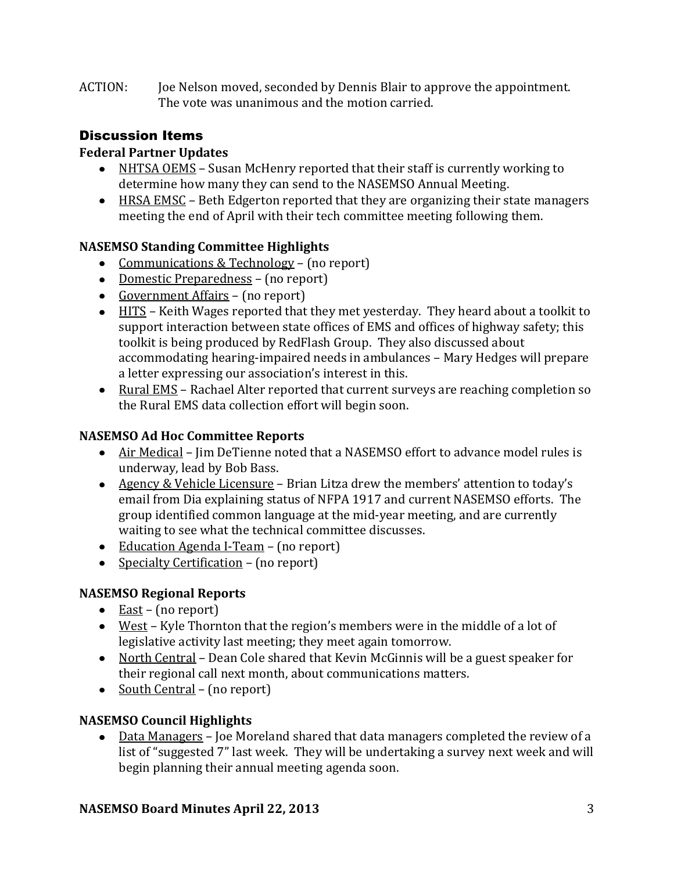ACTION: Joe Nelson moved, seconded by Dennis Blair to approve the appointment. The vote was unanimous and the motion carried.

# Discussion Items

### **Federal Partner Updates**

- NHTSA OEMS Susan McHenry reported that their staff is currently working to determine how many they can send to the NASEMSO Annual Meeting.
- HRSA EMSC Beth Edgerton reported that they are organizing their state managers meeting the end of April with their tech committee meeting following them.

### **NASEMSO Standing Committee Highlights**

- Communications & Technology (no report)
- Domestic Preparedness (no report)
- Government Affairs (no report)
- HITS Keith Wages reported that they met yesterday. They heard about a toolkit to support interaction between state offices of EMS and offices of highway safety; this toolkit is being produced by RedFlash Group. They also discussed about accommodating hearing-impaired needs in ambulances – Mary Hedges will prepare a letter expressing our association's interest in this.
- Rural EMS Rachael Alter reported that current surveys are reaching completion so the Rural EMS data collection effort will begin soon.

### **NASEMSO Ad Hoc Committee Reports**

- Air Medical Jim DeTienne noted that a NASEMSO effort to advance model rules is underway, lead by Bob Bass.
- Agency & Vehicle Licensure Brian Litza drew the members' attention to today's email from Dia explaining status of NFPA 1917 and current NASEMSO efforts. The group identified common language at the mid-year meeting, and are currently waiting to see what the technical committee discusses.
- Education Agenda I-Team (no report)
- Specialty Certification (no report)

## **NASEMSO Regional Reports**

- $\bullet$  East (no report)
- West Kyle Thornton that the region's members were in the middle of a lot of legislative activity last meeting; they meet again tomorrow.
- North Central Dean Cole shared that Kevin McGinnis will be a guest speaker for their regional call next month, about communications matters.
- $\bullet$  South Central (no report)

## **NASEMSO Council Highlights**

Data Managers – Joe Moreland shared that data managers completed the review of a list of "suggested 7" last week. They will be undertaking a survey next week and will begin planning their annual meeting agenda soon.